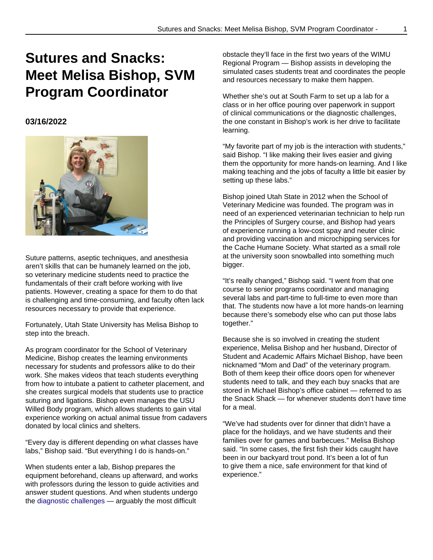## **Sutures and Snacks: Meet Melisa Bishop, SVM Program Coordinator**

## **03/16/2022**



Suture patterns, aseptic techniques, and anesthesia aren't skills that can be humanely learned on the job, so veterinary medicine students need to practice the fundamentals of their craft before working with live patients. However, creating a space for them to do that is challenging and time-consuming, and faculty often lack resources necessary to provide that experience.

Fortunately, Utah State University has Melisa Bishop to step into the breach.

As program coordinator for the School of Veterinary Medicine, Bishop creates the learning environments necessary for students and professors alike to do their work. She makes videos that teach students everything from how to intubate a patient to catheter placement, and she creates surgical models that students use to practice suturing and ligations. Bishop even manages the USU Willed Body program, which allows students to gain vital experience working on actual animal tissue from cadavers donated by local clinics and shelters.

"Every day is different depending on what classes have labs," Bishop said. "But everything I do is hands-on."

When students enter a lab, Bishop prepares the equipment beforehand, cleans up afterward, and works with professors during the lesson to guide activities and answer student questions. And when students undergo the diagnostic challenges — arguably the most difficult

obstacle they'll face in the first two years of the WIMU Regional Program — Bishop assists in developing the simulated cases students treat and coordinates the people and resources necessary to make them happen.

Whether she's out at South Farm to set up a lab for a class or in her office pouring over paperwork in support of clinical communications or the diagnostic challenges, the one constant in Bishop's work is her drive to facilitate learning.

"My favorite part of my job is the interaction with students," said Bishop. "I like making their lives easier and giving them the opportunity for more hands-on learning. And I like making teaching and the jobs of faculty a little bit easier by setting up these labs."

Bishop joined Utah State in 2012 when the School of Veterinary Medicine was founded. The program was in need of an experienced veterinarian technician to help run the Principles of Surgery course, and Bishop had years of experience running a low-cost spay and neuter clinic and providing vaccination and microchipping services for the Cache Humane Society. What started as a small role at the university soon snowballed into something much bigger.

"It's really changed," Bishop said. "I went from that one course to senior programs coordinator and managing several labs and part-time to full-time to even more than that. The students now have a lot more hands-on learning because there's somebody else who can put those labs together."

Because she is so involved in creating the student experience, Melisa Bishop and her husband, Director of Student and Academic Affairs Michael Bishop, have been nicknamed "Mom and Dad" of the veterinary program. Both of them keep their office doors open for whenever students need to talk, and they each buy snacks that are stored in Michael Bishop's office cabinet — referred to as the Snack Shack — for whenever students don't have time for a meal.

"We've had students over for dinner that didn't have a place for the holidays, and we have students and their families over for games and barbecues." Melisa Bishop said. "In some cases, the first fish their kids caught have been in our backyard trout pond. It's been a lot of fun to give them a nice, safe environment for that kind of experience."